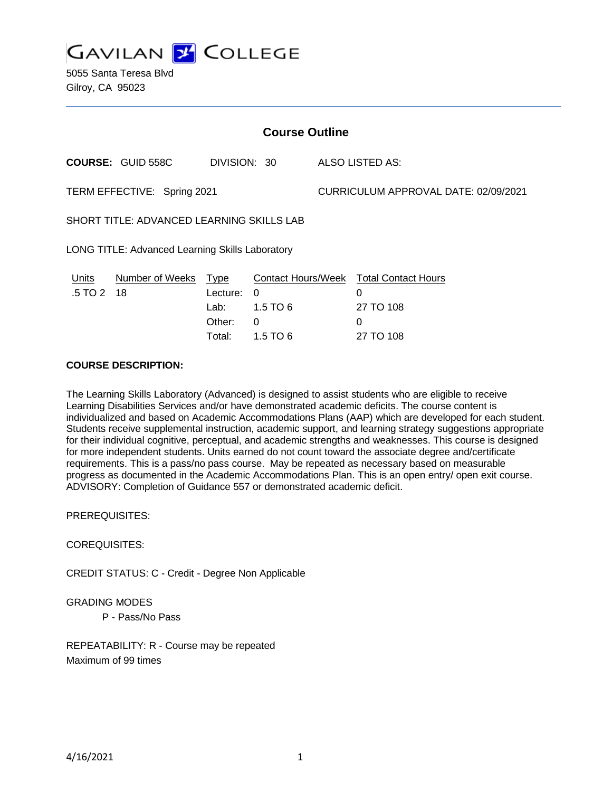**GAVILAN 2 COLLEGE** 

5055 Santa Teresa Blvd Gilroy, CA 95023

#### **COURSE DESCRIPTION:**

The Learning Skills Laboratory (Advanced) is designed to assist students who are eligible to receive Learning Disabilities Services and/or have demonstrated academic deficits. The course content is individualized and based on Academic Accommodations Plans (AAP) which are developed for each student. Students receive supplemental instruction, academic support, and learning strategy suggestions appropriate for their individual cognitive, perceptual, and academic strengths and weaknesses. This course is designed for more independent students. Units earned do not count toward the associate degree and/certificate requirements. This is a pass/no pass course. May be repeated as necessary based on measurable progress as documented in the Academic Accommodations Plan. This is an open entry/ open exit course. ADVISORY: Completion of Guidance 557 or demonstrated academic deficit.

PREREQUISITES:

### COREQUISITES:

CREDIT STATUS: C - Credit - Degree Non Applicable

#### GRADING MODES

P - Pass/No Pass

REPEATABILITY: R - Course may be repeated Maximum of 99 times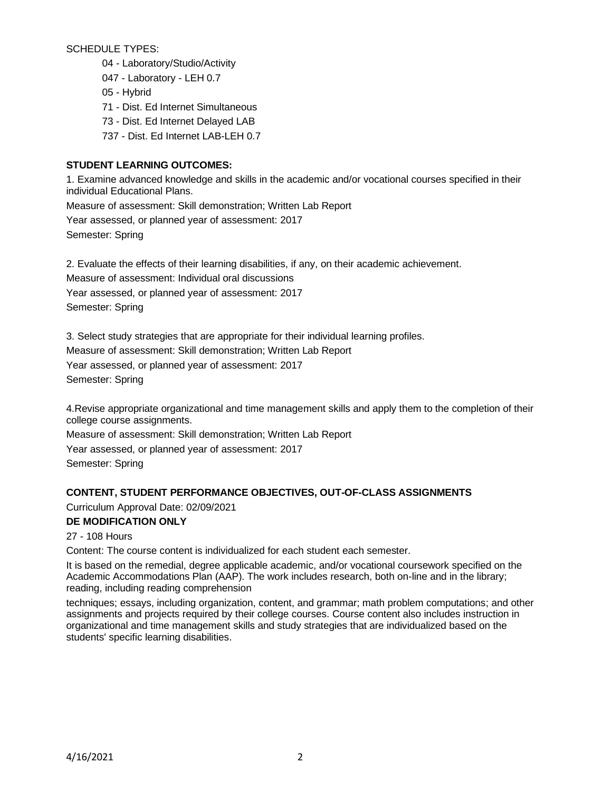SCHEDULE TYPES:

- 04 Laboratory/Studio/Activity
- 047 Laboratory LEH 0.7
- 05 Hybrid
- 71 Dist. Ed Internet Simultaneous
- 73 Dist. Ed Internet Delayed LAB
- 737 Dist. Ed Internet LAB-LEH 0.7

# **STUDENT LEARNING OUTCOMES:**

1. Examine advanced knowledge and skills in the academic and/or vocational courses specified in their individual Educational Plans.

Measure of assessment: Skill demonstration; Written Lab Report

Year assessed, or planned year of assessment: 2017

Semester: Spring

2. Evaluate the effects of their learning disabilities, if any, on their academic achievement.

Measure of assessment: Individual oral discussions

Year assessed, or planned year of assessment: 2017

Semester: Spring

3. Select study strategies that are appropriate for their individual learning profiles.

Measure of assessment: Skill demonstration; Written Lab Report

Year assessed, or planned year of assessment: 2017 Semester: Spring

4.Revise appropriate organizational and time management skills and apply them to the completion of their college course assignments.

Measure of assessment: Skill demonstration; Written Lab Report

Year assessed, or planned year of assessment: 2017

Semester: Spring

## **CONTENT, STUDENT PERFORMANCE OBJECTIVES, OUT-OF-CLASS ASSIGNMENTS**

Curriculum Approval Date: 02/09/2021

## **DE MODIFICATION ONLY**

27 - 108 Hours

Content: The course content is individualized for each student each semester.

It is based on the remedial, degree applicable academic, and/or vocational coursework specified on the Academic Accommodations Plan (AAP). The work includes research, both on-line and in the library; reading, including reading comprehension

techniques; essays, including organization, content, and grammar; math problem computations; and other assignments and projects required by their college courses. Course content also includes instruction in organizational and time management skills and study strategies that are individualized based on the students' specific learning disabilities.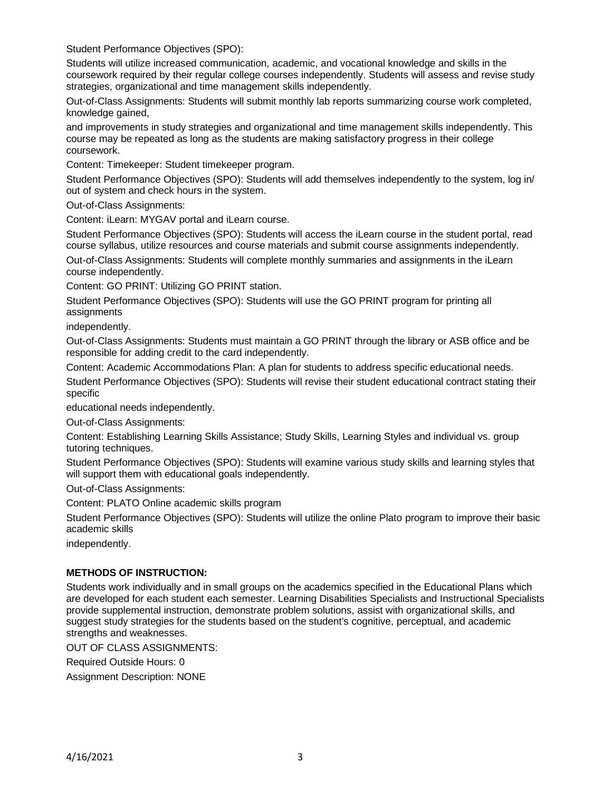Student Performance Objectives (SPO):

Students will utilize increased communication, academic, and vocational knowledge and skills in the coursework required by their regular college courses independently. Students will assess and revise study strategies, organizational and time management skills independently.

Out-of-Class Assignments: Students will submit monthly lab reports summarizing course work completed, knowledge gained,

and improvements in study strategies and organizational and time management skills independently. This course may be repeated as long as the students are making satisfactory progress in their college coursework.

Content: Timekeeper: Student timekeeper program.

Student Performance Objectives (SPO): Students will add themselves independently to the system, log in/ out of system and check hours in the system.

Out-of-Class Assignments:

Content: iLearn: MYGAV portal and iLearn course.

Student Performance Objectives (SPO): Students will access the iLearn course in the student portal, read course syllabus, utilize resources and course materials and submit course assignments independently.

Out-of-Class Assignments: Students will complete monthly summaries and assignments in the iLearn course independently.

Content: GO PRINT: Utilizing GO PRINT station.

Student Performance Objectives (SPO): Students will use the GO PRINT program for printing all assignments

independently.

Out-of-Class Assignments: Students must maintain a GO PRINT through the library or ASB office and be responsible for adding credit to the card independently.

Content: Academic Accommodations Plan: A plan for students to address specific educational needs.

Student Performance Objectives (SPO): Students will revise their student educational contract stating their specific

educational needs independently.

Out-of-Class Assignments:

Content: Establishing Learning Skills Assistance; Study Skills, Learning Styles and individual vs. group tutoring techniques.

Student Performance Objectives (SPO): Students will examine various study skills and learning styles that will support them with educational goals independently.

Out-of-Class Assignments:

Content: PLATO Online academic skills program

Student Performance Objectives (SPO): Students will utilize the online Plato program to improve their basic academic skills

independently.

### **METHODS OF INSTRUCTION:**

Students work individually and in small groups on the academics specified in the Educational Plans which are developed for each student each semester. Learning Disabilities Specialists and Instructional Specialists provide supplemental instruction, demonstrate problem solutions, assist with organizational skills, and suggest study strategies for the students based on the student's cognitive, perceptual, and academic strengths and weaknesses.

OUT OF CLASS ASSIGNMENTS:

Required Outside Hours: 0 Assignment Description: NONE